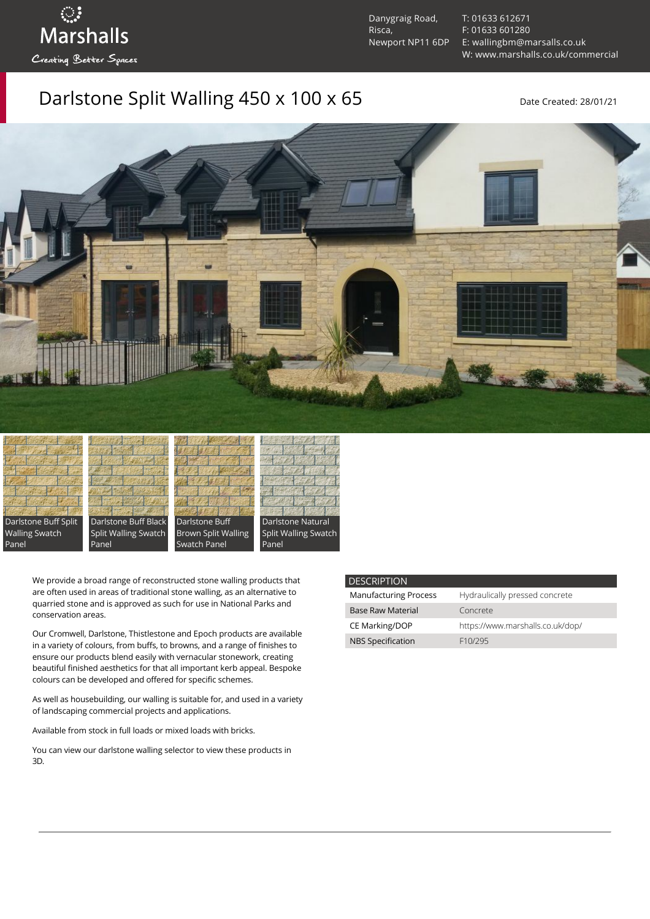Danygraig Road, Risca, Newport NP11 6DP [T: 01633 612671](tel:01633%20612671) [F: 01633 601280](tel:01633%20601280) [E: wallingbm@marsalls.co.uk](mailto:wallingbm@marsalls.co.uk) [W: www.marshalls.co.uk/commercial](https://www.marshalls.co.uk/commercial)

## Darlstone Split Walling  $450 \times 100 \times 65$  Date Created: 28/01/21





ः<br>Marshalls

Creating Better Spaces







Panel

We provide a broad range of reconstructed stone walling products that are often used in areas of traditional stone walling, as an alternative to quarried stone and is approved as such for use in National Parks and conservation areas.

Our [Cromwell](https://www.marshalls.co.uk/commercial/product/cromwell-stone-walling), Darlstone, [Thistlestone](https://www.marshalls.co.uk/commercial/product/thistlestone-stone-walling) and Epoch products are available in a variety of colours, from buffs, to browns, and a range of finishes to ensure our products blend easily with vernacular stonework, creating beautiful finished aesthetics for that all important kerb appeal. Bespoke colours can be developed and offered for specific schemes.

As well as housebuilding, our walling is suitable for, and used in a variety of landscaping commercial projects and applications.

Available from stock in full loads or mixed loads with bricks.

You can view our [darlstone walling selector](https://www.paverpicker.com/paverpicker/?u=edenhall&cat=walling&subcat=darlstone_walling) to view these products in 3D.

| <b>DESCRIPTION</b>           |                                  |
|------------------------------|----------------------------------|
| <b>Manufacturing Process</b> | Hydraulically pressed concrete   |
| <b>Base Raw Material</b>     | Concrete                         |
| CE Marking/DOP               | https://www.marshalls.co.uk/dop/ |
| <b>NBS Specification</b>     | F10/295                          |